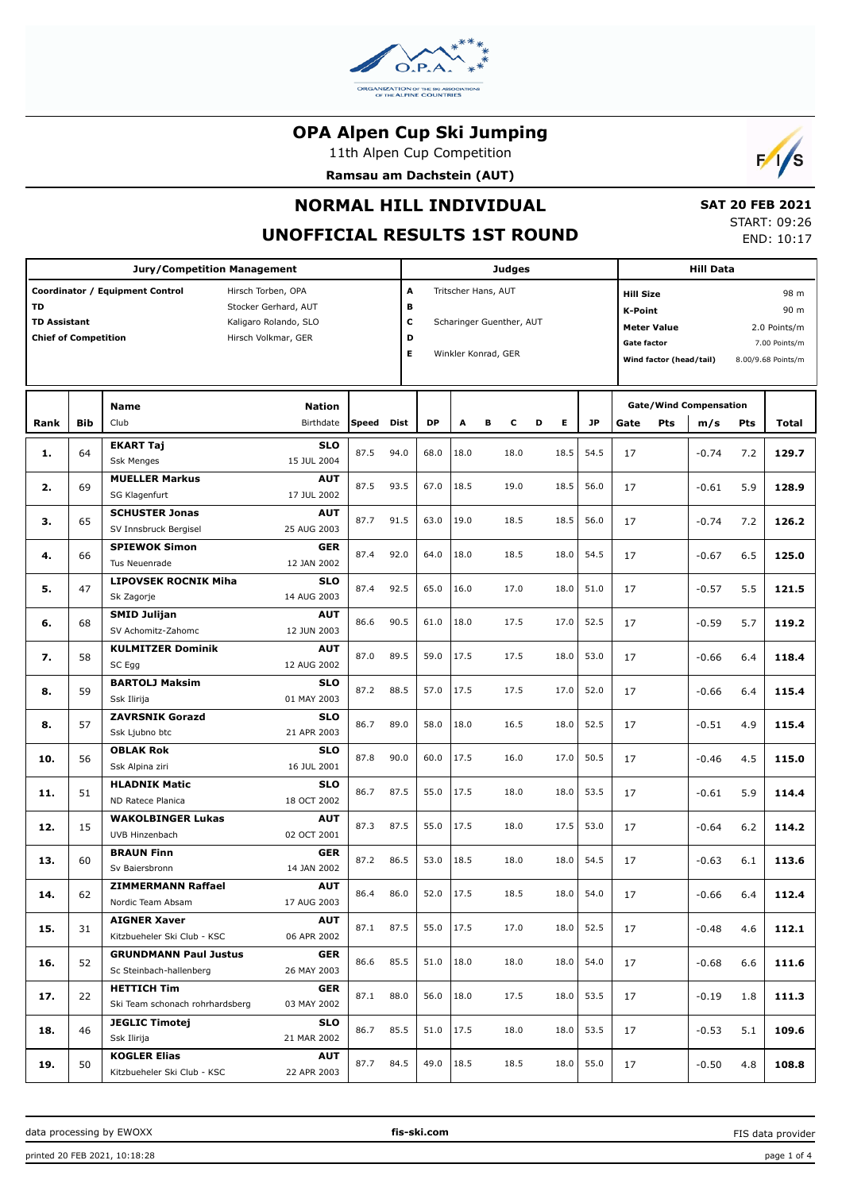

11th Alpen Cup Competition

**Ramsau am Dachstein (AUT)**



# **NORMAL HILL INDIVIDUAL**

# **UNOFFICIAL RESULTS 1ST ROUND**

 **SAT 20 FEB 2021** START: 09:26 END: 10:17

|                                                          |            | <b>Jury/Competition Management</b>                                                                                            |                           |                       |           |      |                                                                        | <b>Judges</b> |   |                                                                                                                                                 |      |     | <b>Hill Data</b>                     |                               |       |       |  |  |
|----------------------------------------------------------|------------|-------------------------------------------------------------------------------------------------------------------------------|---------------------------|-----------------------|-----------|------|------------------------------------------------------------------------|---------------|---|-------------------------------------------------------------------------------------------------------------------------------------------------|------|-----|--------------------------------------|-------------------------------|-------|-------|--|--|
| TD<br><b>TD Assistant</b><br><b>Chief of Competition</b> |            | Coordinator / Equipment Control<br>Hirsch Torben, OPA<br>Stocker Gerhard, AUT<br>Kaligaro Rolando, SLO<br>Hirsch Volkmar, GER |                           | A<br>в<br>c<br>D<br>E |           |      | Tritscher Hans, AUT<br>Scharinger Guenther, AUT<br>Winkler Konrad, GER |               |   | <b>Hill Size</b><br><b>K-Point</b><br><b>Meter Value</b><br>2.0 Points/m<br><b>Gate factor</b><br>Wind factor (head/tail)<br>8.00/9.68 Points/m |      |     |                                      | 98 m<br>90 m<br>7.00 Points/m |       |       |  |  |
| Rank                                                     | <b>Bib</b> | <b>Name</b><br><b>Nation</b><br>Club<br><b>Birthdate</b>                                                                      | Speed                     | Dist                  | <b>DP</b> | A    | в<br>c                                                                 | D             | Е | <b>JP</b>                                                                                                                                       | Gate | Pts | <b>Gate/Wind Compensation</b><br>m/s | Pts                           | Total |       |  |  |
| 1.                                                       | 64         | <b>EKART Taj</b><br><b>Ssk Menges</b>                                                                                         | <b>SLO</b><br>15 JUL 2004 | 87.5                  | 94.0      | 68.0 | 18.0                                                                   | 18.0          |   | 18.5                                                                                                                                            | 54.5 | 17  |                                      | $-0.74$                       | 7.2   | 129.7 |  |  |
| 2.                                                       | 69         | <b>MUELLER Markus</b><br>SG Klagenfurt                                                                                        | <b>AUT</b><br>17 JUL 2002 | 87.5                  | 93.5      | 67.0 | 18.5                                                                   | 19.0          |   | 18.5                                                                                                                                            | 56.0 | 17  |                                      | $-0.61$                       | 5.9   | 128.9 |  |  |
| З.                                                       | 65         | <b>SCHUSTER Jonas</b><br>SV Innsbruck Bergisel                                                                                | <b>AUT</b><br>25 AUG 2003 | 87.7                  | 91.5      | 63.0 | 19.0                                                                   | 18.5          |   | 18.5                                                                                                                                            | 56.0 | 17  |                                      | $-0.74$                       | 7.2   | 126.2 |  |  |
| 4.                                                       | 66         | <b>SPIEWOK Simon</b><br>Tus Neuenrade                                                                                         | <b>GER</b><br>12 JAN 2002 | 87.4                  | 92.0      | 64.0 | 18.0                                                                   | 18.5          |   | 18.0                                                                                                                                            | 54.5 | 17  |                                      | $-0.67$                       | 6.5   | 125.0 |  |  |
| 5.                                                       | 47         | <b>LIPOVSEK ROCNIK Miha</b><br>Sk Zagorje                                                                                     | <b>SLO</b><br>14 AUG 2003 | 87.4                  | 92.5      | 65.0 | 16.0                                                                   | 17.0          |   | 18.0                                                                                                                                            | 51.0 | 17  |                                      | $-0.57$                       | 5.5   | 121.5 |  |  |
| 6.                                                       | 68         | <b>SMID Julijan</b><br>SV Achomitz-Zahomc                                                                                     | <b>AUT</b><br>12 JUN 2003 | 86.6                  | 90.5      | 61.0 | 18.0                                                                   | 17.5          |   | 17.0                                                                                                                                            | 52.5 | 17  |                                      | $-0.59$                       | 5.7   | 119.2 |  |  |
| 7.                                                       | 58         | <b>KULMITZER Dominik</b><br>SC Egg                                                                                            | <b>AUT</b><br>12 AUG 2002 | 87.0                  | 89.5      | 59.0 | 17.5                                                                   | 17.5          |   | 18.0                                                                                                                                            | 53.0 | 17  |                                      | $-0.66$                       | 6.4   | 118.4 |  |  |
| 8.                                                       | 59         | <b>BARTOLJ Maksim</b><br>Ssk Ilirija                                                                                          | <b>SLO</b><br>01 MAY 2003 | 87.2                  | 88.5      | 57.0 | 17.5                                                                   | 17.5          |   | 17.0                                                                                                                                            | 52.0 | 17  |                                      | $-0.66$                       | 6.4   | 115.4 |  |  |
| 8.                                                       | 57         | <b>ZAVRSNIK Gorazd</b><br>Ssk Ljubno btc                                                                                      | <b>SLO</b><br>21 APR 2003 | 86.7                  | 89.0      | 58.0 | 18.0                                                                   | 16.5          |   | 18.0                                                                                                                                            | 52.5 | 17  |                                      | $-0.51$                       | 4.9   | 115.4 |  |  |
| 10.                                                      | 56         | <b>OBLAK Rok</b><br>Ssk Alpina ziri                                                                                           | <b>SLO</b><br>16 JUL 2001 | 87.8                  | 90.0      | 60.0 | 17.5                                                                   | 16.0          |   | 17.0                                                                                                                                            | 50.5 | 17  |                                      | $-0.46$                       | 4.5   | 115.0 |  |  |
| 11.                                                      | 51         | <b>HLADNIK Matic</b><br>ND Ratece Planica                                                                                     | <b>SLO</b><br>18 OCT 2002 | 86.7                  | 87.5      | 55.0 | 17.5                                                                   | 18.0          |   | 18.0                                                                                                                                            | 53.5 | 17  |                                      | $-0.61$                       | 5.9   | 114.4 |  |  |
| 12.                                                      | 15         | <b>WAKOLBINGER Lukas</b><br>UVB Hinzenbach                                                                                    | <b>AUT</b><br>02 OCT 2001 | 87.3                  | 87.5      | 55.0 | 17.5                                                                   | 18.0          |   | 17.5                                                                                                                                            | 53.0 | 17  |                                      | $-0.64$                       | 6.2   | 114.2 |  |  |
| 13.                                                      | 60         | <b>BRAUN Finn</b><br>Sv Baiersbronn                                                                                           | <b>GER</b><br>14 JAN 2002 | 87.2                  | 86.5      | 53.0 | 18.5                                                                   | 18.0          |   | 18.0                                                                                                                                            | 54.5 | 17  |                                      | $-0.63$                       | 6.1   | 113.6 |  |  |
| 14.                                                      | 62         | <b>ZIMMERMANN Raffael</b><br>Nordic Team Absam                                                                                | <b>AUT</b><br>17 AUG 2003 | 86.4                  | 86.0      | 52.0 | 17.5                                                                   | 18.5          |   | 18.0                                                                                                                                            | 54.0 | 17  |                                      | $-0.66$                       | 6.4   | 112.4 |  |  |
| 15.                                                      | 31         | <b>AIGNER Xaver</b><br>Kitzbueheler Ski Club - KSC                                                                            | <b>AUT</b><br>06 APR 2002 | 87.1                  | 87.5      | 55.0 | 17.5                                                                   | 17.0          |   | 18.0                                                                                                                                            | 52.5 | 17  |                                      | $-0.48$                       | 4.6   | 112.1 |  |  |
| 16.                                                      | 52         | <b>GRUNDMANN Paul Justus</b><br>Sc Steinbach-hallenberg                                                                       | <b>GER</b><br>26 MAY 2003 | 86.6                  | 85.5      | 51.0 | 18.0                                                                   | 18.0          |   | 18.0                                                                                                                                            | 54.0 | 17  |                                      | $-0.68$                       | 6.6   | 111.6 |  |  |
| 17.                                                      | 22         | <b>HETTICH Tim</b><br>Ski Team schonach rohrhardsberg                                                                         | <b>GER</b><br>03 MAY 2002 | 87.1                  | 88.0      | 56.0 | 18.0                                                                   | 17.5          |   | 18.0                                                                                                                                            | 53.5 | 17  |                                      | $-0.19$                       | 1.8   | 111.3 |  |  |
| 18.                                                      | 46         | <b>JEGLIC Timotej</b><br>Ssk Ilirija                                                                                          | <b>SLO</b><br>21 MAR 2002 | 86.7                  | 85.5      | 51.0 | 17.5                                                                   | 18.0          |   | 18.0                                                                                                                                            | 53.5 | 17  |                                      | $-0.53$                       | 5.1   | 109.6 |  |  |
| 19.                                                      | 50         | <b>KOGLER Elias</b><br>Kitzbueheler Ski Club - KSC                                                                            | <b>AUT</b><br>22 APR 2003 | 87.7                  | 84.5      | 49.0 | 18.5                                                                   | 18.5          |   | 18.0                                                                                                                                            | 55.0 | 17  |                                      | $-0.50$                       | 4.8   | 108.8 |  |  |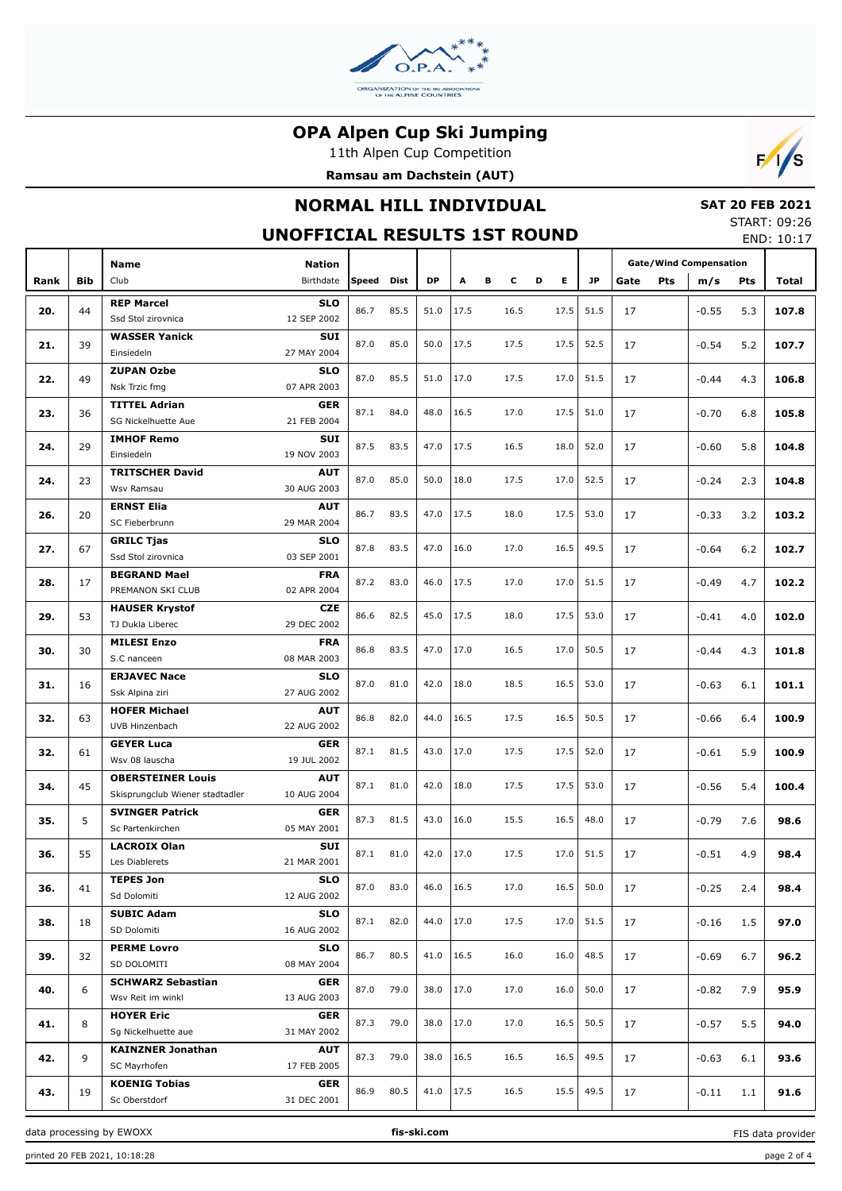

11th Alpen Cup Competition





# **NORMAL HILL INDIVIDUAL**

# **SAT 20 FEB 2021**

**UNOFFICIAL RESULTS 1ST ROUND**

| START: 09:26 |            |
|--------------|------------|
|              | END: 10:17 |

|      |            |                                 |               |              |      |           |      |   |      |   |      | LIVD. 10.17 |                               |     |         |     |       |  |  |  |  |  |  |
|------|------------|---------------------------------|---------------|--------------|------|-----------|------|---|------|---|------|-------------|-------------------------------|-----|---------|-----|-------|--|--|--|--|--|--|
|      |            | <b>Name</b>                     | <b>Nation</b> |              |      |           |      |   |      |   |      |             | <b>Gate/Wind Compensation</b> |     |         |     |       |  |  |  |  |  |  |
| Rank | <b>Bib</b> | Club                            | Birthdate     | <b>Speed</b> | Dist | <b>DP</b> | Α    | в | c    | D | Е    | <b>JP</b>   | Gate                          | Pts | m/s     | Pts | Total |  |  |  |  |  |  |
|      |            |                                 |               |              |      |           |      |   |      |   |      |             |                               |     |         |     |       |  |  |  |  |  |  |
| 20.  | 44         | <b>REP Marcel</b>               | <b>SLO</b>    | 86.7         | 85.5 | 51.0      | 17.5 |   | 16.5 |   | 17.5 | 51.5        | 17                            |     | $-0.55$ | 5.3 | 107.8 |  |  |  |  |  |  |
|      |            | Ssd Stol zirovnica              | 12 SEP 2002   |              |      |           |      |   |      |   |      |             |                               |     |         |     |       |  |  |  |  |  |  |
| 21.  | 39         | <b>WASSER Yanick</b>            | <b>SUI</b>    | 87.0         | 85.0 | 50.0      | 17.5 |   | 17.5 |   | 17.5 | 52.5        | 17                            |     | $-0.54$ | 5.2 | 107.7 |  |  |  |  |  |  |
|      |            | Einsiedeln                      | 27 MAY 2004   |              |      |           |      |   |      |   |      |             |                               |     |         |     |       |  |  |  |  |  |  |
| 22.  | 49         | <b>ZUPAN Ozbe</b>               | <b>SLO</b>    | 87.0         | 85.5 | 51.0      | 17.0 |   | 17.5 |   | 17.0 | 51.5        | 17                            |     | $-0.44$ | 4.3 | 106.8 |  |  |  |  |  |  |
|      |            | Nsk Trzic fmg                   | 07 APR 2003   |              |      |           |      |   |      |   |      |             |                               |     |         |     |       |  |  |  |  |  |  |
|      |            | <b>TITTEL Adrian</b>            | <b>GER</b>    |              |      |           |      |   |      |   |      |             |                               |     |         |     |       |  |  |  |  |  |  |
| 23.  | 36         | SG Nickelhuette Aue             | 21 FEB 2004   | 87.1         | 84.0 | 48.0      | 16.5 |   | 17.0 |   | 17.5 | 51.0        | 17                            |     | $-0.70$ | 6.8 | 105.8 |  |  |  |  |  |  |
|      |            | <b>IMHOF Remo</b>               | <b>SUI</b>    |              |      |           |      |   |      |   |      |             |                               |     |         |     |       |  |  |  |  |  |  |
| 24.  | 29         | Einsiedeln                      | 19 NOV 2003   | 87.5         | 83.5 | 47.0      | 17.5 |   | 16.5 |   | 18.0 | 52.0        | 17                            |     | $-0.60$ | 5.8 | 104.8 |  |  |  |  |  |  |
|      |            | <b>TRITSCHER David</b>          | <b>AUT</b>    |              |      |           |      |   |      |   |      |             |                               |     |         |     |       |  |  |  |  |  |  |
| 24.  | 23         | Wsv Ramsau                      | 30 AUG 2003   | 87.0         | 85.0 | 50.0      | 18.0 |   | 17.5 |   | 17.0 | 52.5        | 17                            |     | $-0.24$ | 2.3 | 104.8 |  |  |  |  |  |  |
|      |            | <b>ERNST Elia</b>               | <b>AUT</b>    |              |      |           |      |   |      |   |      |             |                               |     |         |     |       |  |  |  |  |  |  |
| 26.  | 20         | SC Fieberbrunn                  | 29 MAR 2004   | 86.7         | 83.5 | 47.0      | 17.5 |   | 18.0 |   | 17.5 | 53.0        | 17                            |     | $-0.33$ | 3.2 | 103.2 |  |  |  |  |  |  |
|      |            | <b>GRILC Tjas</b>               | <b>SLO</b>    |              |      |           |      |   |      |   |      |             |                               |     |         |     |       |  |  |  |  |  |  |
| 27.  | 67         | Ssd Stol zirovnica              | 03 SEP 2001   | 87.8         | 83.5 | 47.0      | 16.0 |   | 17.0 |   | 16.5 | 49.5        | 17                            |     | $-0.64$ | 6.2 | 102.7 |  |  |  |  |  |  |
|      |            | <b>BEGRAND Mael</b>             | <b>FRA</b>    |              |      |           |      |   |      |   |      |             |                               |     |         |     |       |  |  |  |  |  |  |
| 28.  | 17         | PREMANON SKI CLUB               | 02 APR 2004   | 87.2         | 83.0 | 46.0      | 17.5 |   | 17.0 |   | 17.0 | 51.5        | 17                            |     | $-0.49$ | 4.7 | 102.2 |  |  |  |  |  |  |
|      |            | <b>HAUSER Krystof</b>           | <b>CZE</b>    |              |      |           |      |   |      |   |      |             |                               |     |         |     |       |  |  |  |  |  |  |
| 29.  | 53         | TJ Dukla Liberec                | 29 DEC 2002   | 86.6         | 82.5 | 45.0      | 17.5 |   | 18.0 |   | 17.5 | 53.0        | 17                            |     | $-0.41$ | 4.0 | 102.0 |  |  |  |  |  |  |
|      |            | <b>MILESI Enzo</b>              | <b>FRA</b>    |              |      |           |      |   |      |   |      |             |                               |     |         |     |       |  |  |  |  |  |  |
| 30.  | 30         | S.C nanceen                     | 08 MAR 2003   | 86.8         | 83.5 | 47.0      | 17.0 |   | 16.5 |   | 17.0 | 50.5        | 17                            |     | $-0.44$ | 4.3 | 101.8 |  |  |  |  |  |  |
|      |            | <b>ERJAVEC Nace</b>             | <b>SLO</b>    |              |      |           |      |   |      |   |      |             |                               |     |         |     |       |  |  |  |  |  |  |
| 31.  | 16         | Ssk Alpina ziri                 | 27 AUG 2002   | 87.0         | 81.0 | 42.0      | 18.0 |   | 18.5 |   | 16.5 | 53.0        | 17                            |     | $-0.63$ | 6.1 | 101.1 |  |  |  |  |  |  |
|      |            | <b>HOFER Michael</b>            | <b>AUT</b>    |              |      |           |      |   |      |   |      |             |                               |     |         |     |       |  |  |  |  |  |  |
| 32.  | 63         | UVB Hinzenbach                  | 22 AUG 2002   | 86.8         | 82.0 | 44.0      | 16.5 |   | 17.5 |   | 16.5 | 50.5        | 17                            |     | $-0.66$ | 6.4 | 100.9 |  |  |  |  |  |  |
|      |            |                                 | <b>GER</b>    |              |      |           |      |   |      |   |      |             |                               |     |         |     |       |  |  |  |  |  |  |
| 32.  | 61         | <b>GEYER Luca</b>               |               | 87.1         | 81.5 | 43.0      | 17.0 |   | 17.5 |   | 17.5 | 52.0        | 17                            |     | $-0.61$ | 5.9 | 100.9 |  |  |  |  |  |  |
|      |            | Wsv 08 lauscha                  | 19 JUL 2002   |              |      |           |      |   |      |   |      |             |                               |     |         |     |       |  |  |  |  |  |  |
| 34.  | 45         | <b>OBERSTEINER Louis</b>        | <b>AUT</b>    | 87.1         | 81.0 | 42.0      | 18.0 |   | 17.5 |   | 17.5 | 53.0        | 17                            |     | $-0.56$ | 5.4 | 100.4 |  |  |  |  |  |  |
|      |            | Skisprungclub Wiener stadtadler | 10 AUG 2004   |              |      |           |      |   |      |   |      |             |                               |     |         |     |       |  |  |  |  |  |  |
| 35.  | 5          | <b>SVINGER Patrick</b>          | <b>GER</b>    | 87.3         | 81.5 | 43.0      | 16.0 |   | 15.5 |   | 16.5 | 48.0        | 17                            |     | $-0.79$ | 7.6 | 98.6  |  |  |  |  |  |  |
|      |            | Sc Partenkirchen                | 05 MAY 2001   |              |      |           |      |   |      |   |      |             |                               |     |         |     |       |  |  |  |  |  |  |
| 36.  | 55         | <b>LACROIX Olan</b>             | <b>SUI</b>    | 87.1         | 81.0 | 42.0      | 17.0 |   | 17.5 |   | 17.0 | 51.5        | 17                            |     | $-0.51$ | 4.9 | 98.4  |  |  |  |  |  |  |
|      |            | Les Diablerets                  | 21 MAR 2001   |              |      |           |      |   |      |   |      |             |                               |     |         |     |       |  |  |  |  |  |  |
| 36.  | 41         | <b>TEPES Jon</b>                | <b>SLO</b>    | 87.0         | 83.0 | 46.0      | 16.5 |   | 17.0 |   | 16.5 | 50.0        | 17                            |     | $-0.25$ | 2.4 | 98.4  |  |  |  |  |  |  |
|      |            | Sd Dolomiti                     | 12 AUG 2002   |              |      |           |      |   |      |   |      |             |                               |     |         |     |       |  |  |  |  |  |  |
| 38.  | 18         | <b>SUBIC Adam</b>               | <b>SLO</b>    | 87.1         | 82.0 | 44.0      | 17.0 |   | 17.5 |   | 17.0 | 51.5        | 17                            |     | $-0.16$ | 1.5 | 97.0  |  |  |  |  |  |  |
|      |            | SD Dolomiti                     | 16 AUG 2002   |              |      |           |      |   |      |   |      |             |                               |     |         |     |       |  |  |  |  |  |  |
| 39.  | 32         | <b>PERME Lovro</b>              | <b>SLO</b>    | 86.7         | 80.5 | 41.0      | 16.5 |   | 16.0 |   | 16.0 | 48.5        | 17                            |     | $-0.69$ | 6.7 | 96.2  |  |  |  |  |  |  |
|      |            | SD DOLOMITI                     | 08 MAY 2004   |              |      |           |      |   |      |   |      |             |                               |     |         |     |       |  |  |  |  |  |  |
| 40.  | 6          | <b>SCHWARZ Sebastian</b>        | <b>GER</b>    | 87.0         | 79.0 | 38.0      | 17.0 |   | 17.0 |   | 16.0 | 50.0        | 17                            |     | $-0.82$ | 7.9 | 95.9  |  |  |  |  |  |  |
|      |            | Wsv Reit im winkl               | 13 AUG 2003   |              |      |           |      |   |      |   |      |             |                               |     |         |     |       |  |  |  |  |  |  |
| 41.  | 8          | <b>HOYER Eric</b>               | <b>GER</b>    | 87.3         | 79.0 | 38.0      | 17.0 |   | 17.0 |   | 16.5 | 50.5        | 17                            |     | $-0.57$ | 5.5 | 94.0  |  |  |  |  |  |  |
|      |            | Sg Nickelhuette aue             | 31 MAY 2002   |              |      |           |      |   |      |   |      |             |                               |     |         |     |       |  |  |  |  |  |  |
| 42.  | 9          | <b>KAINZNER Jonathan</b>        | <b>AUT</b>    | 87.3         | 79.0 | 38.0      | 16.5 |   |      |   | 16.5 | 49.5        | 17                            |     | $-0.63$ | 6.1 | 93.6  |  |  |  |  |  |  |
|      |            | SC Mayrhofen                    | 17 FEB 2005   |              |      |           |      |   | 16.5 |   |      |             |                               |     |         |     |       |  |  |  |  |  |  |
| 43.  | 19         | <b>KOENIG Tobias</b>            | <b>GER</b>    | 86.9         | 80.5 | 41.0      | 17.5 |   | 16.5 |   | 15.5 | 49.5        | 17                            |     | $-0.11$ | 1.1 | 91.6  |  |  |  |  |  |  |
|      |            | Sc Oberstdorf                   | 31 DEC 2001   |              |      |           |      |   |      |   |      |             |                               |     |         |     |       |  |  |  |  |  |  |

data processing by EWOXX **fis-ski.com**

FIS data provider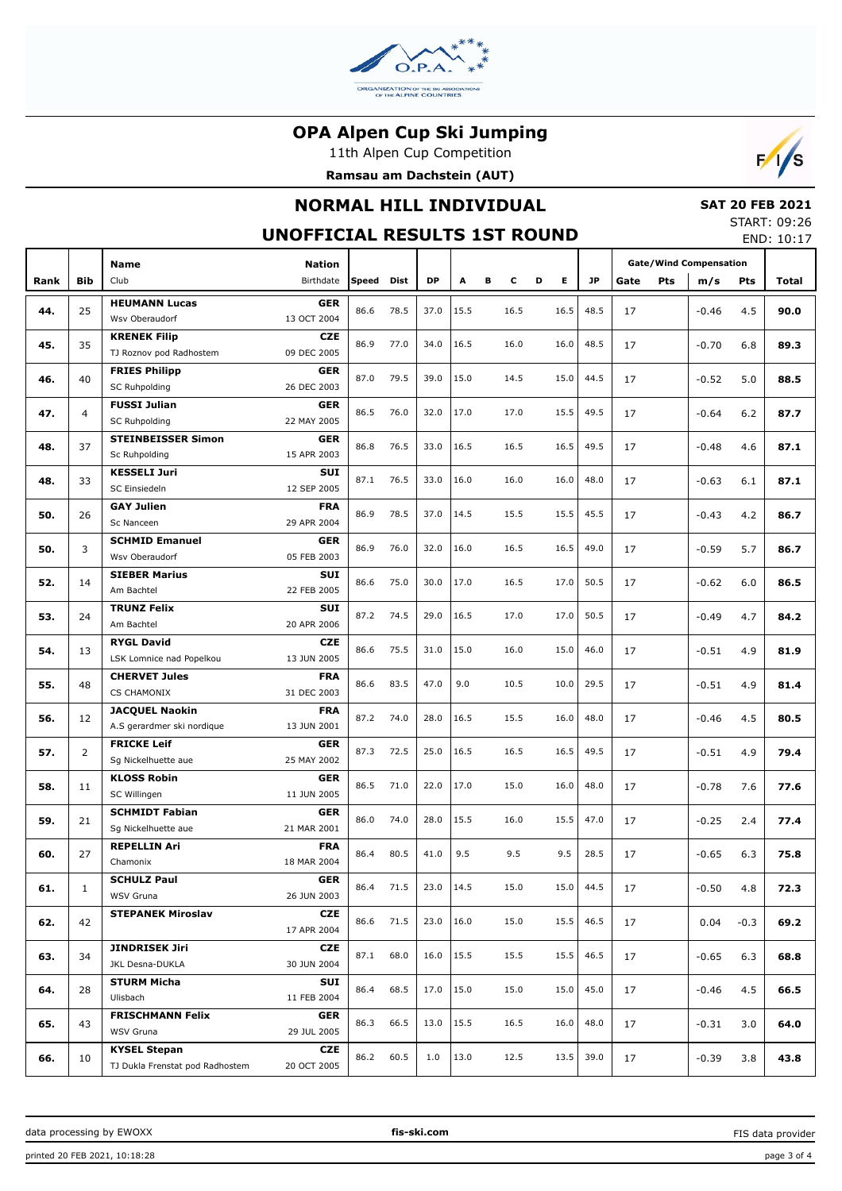

11th Alpen Cup Competition





# **NORMAL HILL INDIVIDUAL**

# **SAT 20 FEB 2021**

#### **UNOFFICIAL RESULTS 1ST ROUND**

START: 09:26 END: 10:17

|      |                    | <b>Name</b>                                            | <b>Nation</b>             |            |      |      |      |   |      |   |      |      | <b>Gate/Wind Compensation</b> |     |         |        |              |  |
|------|--------------------|--------------------------------------------------------|---------------------------|------------|------|------|------|---|------|---|------|------|-------------------------------|-----|---------|--------|--------------|--|
| Rank | <b>Bib</b>         | Club                                                   | Birthdate                 | Speed Dist |      | DP   | A    | в | c    | D | E.   | JP.  | Gate                          | Pts | m/s     | Pts    | <b>Total</b> |  |
|      |                    |                                                        |                           |            |      |      |      |   |      |   |      |      |                               |     |         |        |              |  |
| 44.  | 25                 | <b>HEUMANN Lucas</b><br>Wsv Oberaudorf                 | <b>GER</b><br>13 OCT 2004 | 86.6       | 78.5 | 37.0 | 15.5 |   | 16.5 |   | 16.5 | 48.5 | 17                            |     | $-0.46$ | 4.5    | 90.0         |  |
|      |                    |                                                        |                           |            |      |      |      |   |      |   |      |      |                               |     |         |        |              |  |
| 45.  | 35                 | <b>KRENEK Filip</b>                                    | <b>CZE</b><br>09 DEC 2005 | 86.9       | 77.0 | 34.0 | 16.5 |   | 16.0 |   | 16.0 | 48.5 | 17                            |     | $-0.70$ | 6.8    | 89.3         |  |
|      |                    | TJ Roznov pod Radhostem                                |                           |            |      |      |      |   |      |   |      |      |                               |     |         |        |              |  |
| 46.  | 40                 | <b>FRIES Philipp</b><br><b>SC Ruhpolding</b>           | <b>GER</b><br>26 DEC 2003 | 87.0       | 79.5 | 39.0 | 15.0 |   | 14.5 |   | 15.0 | 44.5 | 17                            |     | $-0.52$ | 5.0    | 88.5         |  |
|      |                    | <b>FUSSI Julian</b>                                    | <b>GER</b>                |            |      |      |      |   |      |   |      |      |                               |     |         |        |              |  |
| 47.  | 4                  | <b>SC Ruhpolding</b>                                   | 22 MAY 2005               | 86.5       | 76.0 | 32.0 | 17.0 |   | 17.0 |   | 15.5 | 49.5 | 17                            |     | $-0.64$ | 6.2    | 87.7         |  |
|      |                    | <b>STEINBEISSER Simon</b>                              | <b>GER</b>                |            |      |      |      |   |      |   |      |      |                               |     |         |        |              |  |
| 48.  | 37                 | Sc Ruhpolding                                          | 15 APR 2003               | 86.8       | 76.5 | 33.0 | 16.5 |   | 16.5 |   | 16.5 | 49.5 | 17                            |     | $-0.48$ | 4.6    | 87.1         |  |
|      |                    | <b>KESSELI Juri</b>                                    | <b>SUI</b>                |            |      |      |      |   |      |   |      |      |                               |     |         |        |              |  |
| 48.  | 33                 | SC Einsiedeln                                          | 12 SEP 2005               | 87.1       | 76.5 | 33.0 | 16.0 |   | 16.0 |   | 16.0 | 48.0 | 17                            |     | $-0.63$ | 6.1    | 87.1         |  |
|      |                    | <b>GAY Julien</b>                                      | <b>FRA</b>                |            |      |      |      |   |      |   |      |      |                               |     |         |        |              |  |
| 50.  | 26                 | Sc Nanceen                                             | 29 APR 2004               | 86.9       | 78.5 | 37.0 | 14.5 |   | 15.5 |   | 15.5 | 45.5 | 17                            |     | $-0.43$ | 4.2    | 86.7         |  |
|      |                    | <b>SCHMID Emanuel</b>                                  | <b>GER</b>                |            |      |      |      |   |      |   |      |      |                               |     |         |        |              |  |
| 50.  | 3                  | Wsv Oberaudorf                                         | 05 FEB 2003               | 86.9       | 76.0 | 32.0 | 16.0 |   | 16.5 |   | 16.5 | 49.0 | 17                            |     | $-0.59$ | 5.7    | 86.7         |  |
|      |                    | <b>SIEBER Marius</b>                                   | <b>SUI</b>                |            |      |      |      |   |      |   |      |      |                               |     |         |        |              |  |
| 52.  | 14                 | Am Bachtel                                             | 22 FEB 2005               | 86.6       | 75.0 | 30.0 | 17.0 |   | 16.5 |   | 17.0 | 50.5 | 17                            |     | $-0.62$ | 6.0    | 86.5         |  |
|      | <b>TRUNZ Felix</b> | <b>SUI</b>                                             |                           |            |      |      |      |   |      |   |      |      |                               |     |         |        |              |  |
| 53.  | 24                 | Am Bachtel                                             | 20 APR 2006               | 87.2       | 74.5 | 29.0 | 16.5 |   | 17.0 |   | 17.0 | 50.5 | 17                            |     | $-0.49$ | 4.7    | 84.2         |  |
|      |                    | <b>RYGL David</b>                                      | <b>CZE</b>                |            |      |      |      |   |      |   |      |      |                               |     |         |        |              |  |
| 54.  | 13                 | LSK Lomnice nad Popelkou                               | 13 JUN 2005               | 86.6       | 75.5 | 31.0 | 15.0 |   | 16.0 |   | 15.0 | 46.0 | 17                            |     | $-0.51$ | 4.9    | 81.9         |  |
|      |                    | <b>CHERVET Jules</b>                                   | <b>FRA</b>                | 86.6       |      |      |      |   |      |   |      |      |                               |     |         |        |              |  |
| 55.  | 48                 | <b>CS CHAMONIX</b>                                     | 31 DEC 2003               |            | 83.5 | 47.0 | 9.0  |   | 10.5 |   | 10.0 | 29.5 | 17                            |     | $-0.51$ | 4.9    | 81.4         |  |
|      |                    | <b>JACQUEL Naokin</b>                                  | <b>FRA</b>                |            |      |      |      |   |      |   |      |      |                               |     |         |        |              |  |
| 56.  | 12                 | A.S gerardmer ski nordique                             | 13 JUN 2001               | 87.2       | 74.0 | 28.0 | 16.5 |   | 15.5 |   | 16.0 | 48.0 | 17                            |     | $-0.46$ | 4.5    | 80.5         |  |
|      |                    | <b>FRICKE Leif</b>                                     | <b>GER</b>                | 87.3       | 72.5 | 25.0 | 16.5 |   | 16.5 |   | 16.5 | 49.5 |                               |     |         |        |              |  |
| 57.  | 2                  | Sg Nickelhuette aue                                    | 25 MAY 2002               |            |      |      |      |   |      |   |      |      | 17                            |     | $-0.51$ | 4.9    | 79.4         |  |
| 58.  | 11                 | <b>KLOSS Robin</b>                                     | <b>GER</b>                | 86.5       | 71.0 | 22.0 | 17.0 |   | 15.0 |   | 16.0 | 48.0 | 17                            |     | $-0.78$ | 7.6    | 77.6         |  |
|      |                    | SC Willingen                                           | 11 JUN 2005               |            |      |      |      |   |      |   |      |      |                               |     |         |        |              |  |
| 59.  | 21                 | <b>SCHMIDT Fabian</b>                                  | <b>GER</b>                | 86.0       | 74.0 | 28.0 | 15.5 |   | 16.0 |   | 15.5 | 47.0 | 17                            |     | $-0.25$ | 2.4    | 77.4         |  |
|      |                    | Sg Nickelhuette aue                                    | 21 MAR 2001               |            |      |      |      |   |      |   |      |      |                               |     |         |        |              |  |
| 60.  | 27                 | <b>REPELLIN Ari</b>                                    | <b>FRA</b>                | 86.4       | 80.5 | 41.0 | 9.5  |   | 9.5  |   | 9.5  | 28.5 | 17                            |     | $-0.65$ | 6.3    | 75.8         |  |
|      |                    | Chamonix                                               | 18 MAR 2004               |            |      |      |      |   |      |   |      |      |                               |     |         |        |              |  |
| 61.  | 1                  | <b>SCHULZ Paul</b>                                     | <b>GER</b>                | 86.4       | 71.5 | 23.0 | 14.5 |   | 15.0 |   | 15.0 | 44.5 | 17                            |     | $-0.50$ | 4.8    | 72.3         |  |
|      |                    | WSV Gruna                                              | 26 JUN 2003               |            |      |      |      |   |      |   |      |      |                               |     |         |        |              |  |
| 62.  | 42                 | <b>STEPANEK Miroslav</b>                               | <b>CZE</b>                | 86.6       | 71.5 | 23.0 | 16.0 |   | 15.0 |   | 15.5 | 46.5 | 17                            |     | 0.04    | $-0.3$ | 69.2         |  |
|      |                    |                                                        | 17 APR 2004               |            |      |      |      |   |      |   |      |      |                               |     |         |        |              |  |
| 63.  | 34                 | <b>JINDRISEK Jiri</b>                                  | <b>CZE</b>                | 87.1       | 68.0 | 16.0 | 15.5 |   | 15.5 |   | 15.5 | 46.5 | 17                            |     | $-0.65$ | 6.3    | 68.8         |  |
|      |                    | JKL Desna-DUKLA                                        | 30 JUN 2004               |            |      |      |      |   |      |   |      |      |                               |     |         |        |              |  |
| 64.  | 28                 | <b>STURM Micha</b>                                     | SUI                       | 86.4       | 68.5 | 17.0 | 15.0 |   | 15.0 |   | 15.0 | 45.0 | 17                            |     | $-0.46$ | 4.5    | 66.5         |  |
|      |                    | Ulisbach                                               | 11 FEB 2004               |            |      |      |      |   |      |   |      |      |                               |     |         |        |              |  |
| 65.  | 43                 | <b>FRISCHMANN Felix</b><br>WSV Gruna                   | <b>GER</b>                | 86.3       | 66.5 | 13.0 | 15.5 |   | 16.5 |   | 16.0 | 48.0 | 17                            |     | $-0.31$ | 3.0    | 64.0         |  |
|      |                    |                                                        | 29 JUL 2005               |            |      |      |      |   |      |   |      |      |                               |     |         |        |              |  |
| 66.  | 10                 | <b>KYSEL Stepan</b><br>TJ Dukla Frenstat pod Radhostem | <b>CZE</b><br>20 OCT 2005 | 86.2       | 60.5 | 1.0  | 13.0 |   | 12.5 |   | 13.5 | 39.0 | 17                            |     | $-0.39$ | 3.8    | 43.8         |  |
|      |                    |                                                        |                           |            |      |      |      |   |      |   |      |      |                               |     |         |        |              |  |

FIS data provider